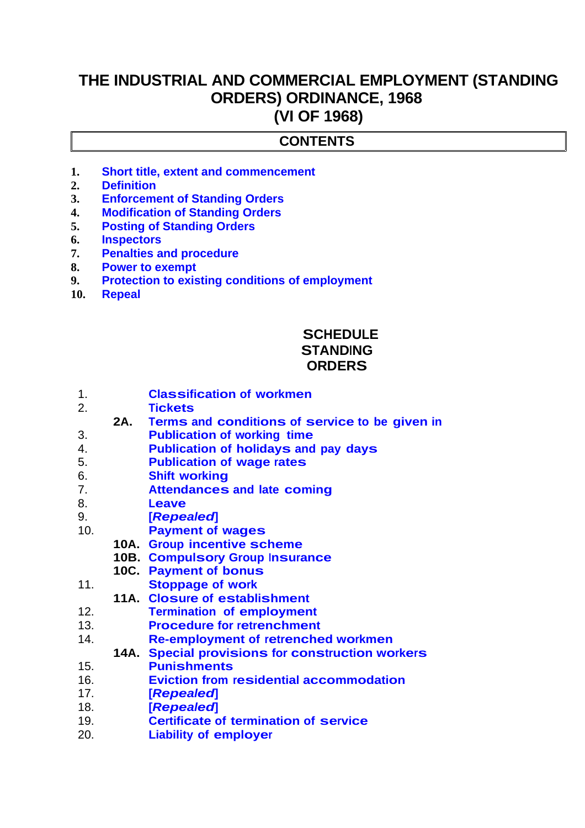# **THE INDUSTRIAL AND COMMERCIAL EMPLOYMENT (STANDING ORDERS) ORDINANCE, 1968 (VI OF 1968)**

### **CONTENTS**

- **1. [Short title, extent and commencement](#page-1-0)**
- **2. [Definition](#page-2-0)**
- **3. [Enforcement of Standing Orders](#page-3-3)**
- **4. [Modification of Standing Orders](#page-3-2)**
- **5. [Posting of Standing Orders](#page-3-1)**
- **6. [Inspectors](#page-3-0)**
- **7. [Penalties and procedure](#page-4-3)**
- **8. [Power to exempt](#page-4-2)**
- **9. [Protection to existing conditions of employment](#page-4-1)**
- **10. [Repeal](#page-4-0)**

# **SCHEDULE STANDING ORDERS**

- 1. **Classification of workmen**
- 2. **Tickets**
- **2A. Terms and conditions of service to be given in**
- **2.** *Publication of working time*
- 4. **Publication of holidays and pay days**
- 5. **Publication of wage rates**
- 6. **Shift working**
- 7. **Attendances and late coming**
- 8. **Leave**
- 9. **[***Repealed***]**
- 10. **Payment of wages**
	- **10A. Group incentive scheme**
		- **10B. Compulsory Group Insurance**
	- **10C. Payment of bonus**
- 11. **Stoppage of work**
- **11A. Closure of establishment**
- 12. **Termination of employment**
- 13. **Procedure for retrenchment**
- 14. **Re-employment of retrenched workmen**
- **14A. Special provisions for construction workers**
- 15. **Punishments**
- 16. **Eviction from residential accommodation**
- 17. **[***Repealed***]**
- 18. **[***Repealed***]**
- 19. **Certificate of termination of service**
- 20. **Liability of employer**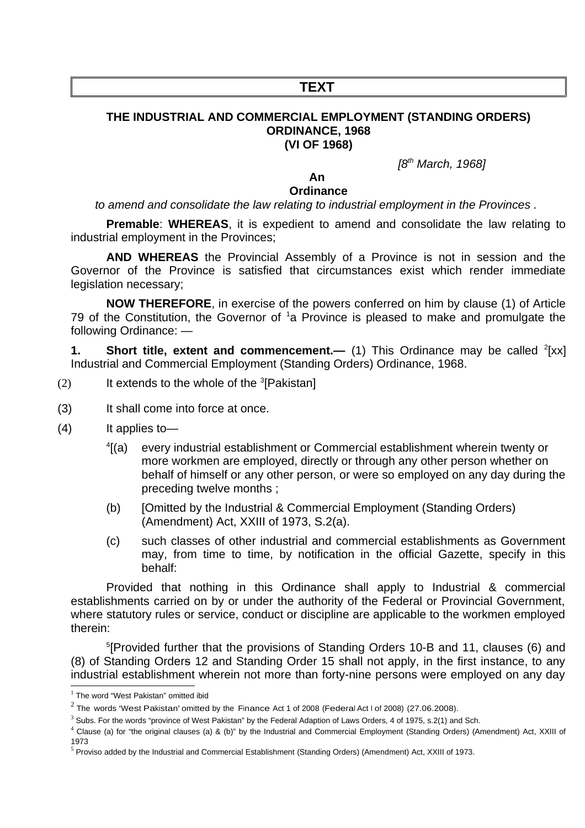# **TEXT**

#### **THE INDUSTRIAL AND COMMERCIAL EMPLOYMENT (STANDING ORDERS) ORDINANCE, 1968 (VI OF 1968)**

*[8th March, 1968]*

#### **An**

#### **Ordinance**

*to amend and consolidate the law relating to industrial employment in the Provinces .* 

**Premable**: **WHEREAS**, it is expedient to amend and consolidate the law relating to industrial employment in the Provinces;

**AND WHEREAS** the Provincial Assembly of a Province is not in session and the Governor of the Province is satisfied that circumstances exist which render immediate legislation necessary;

**NOW THEREFORE**, in exercise of the powers conferred on him by clause (1) of Article 79 of the Constitution, the Governor of  $1a$  $1a$  Province is pleased to make and promulgate the following Ordinance: —

<span id="page-1-0"></span>**1.** Short title, extent and commencement.— (1) This Ordinance may be called <sup>[2](#page-1-2)</sup>[xx] Industrial and Commercial Employment (Standing Orders) Ordinance, 1968.

- (2) It extends to the whole of the  ${}^{3}$  ${}^{3}$  ${}^{3}$ [Pakistan]
- (3) It shall come into force at once.
- (4) It applies to—
	- $4$ [(a) every industrial establishment or Commercial establishment wherein twenty or more workmen are employed, directly or through any other person whether on behalf of himself or any other person, or were so employed on any day during the preceding twelve months ;
	- (b) [Omitted by the Industrial & Commercial Employment (Standing Orders) (Amendment) Act, XXIII of 1973, S.2(a).
	- (c) such classes of other industrial and commercial establishments as Government may, from time to time, by notification in the official Gazette, specify in this behalf:

Provided that nothing in this Ordinance shall apply to Industrial & commercial establishments carried on by or under the authority of the Federal or Provincial Government, where statutory rules or service, conduct or discipline are applicable to the workmen employed therein:

[5](#page-1-5) [Provided further that the provisions of Standing Orders 10-B and 11, clauses (6) and (8) of Standing Orders 12 and Standing Order 15 shall not apply, in the first instance, to any industrial establishment wherein not more than forty-nine persons were employed on any day

<span id="page-1-1"></span> $^1$  The word "West Pakistan" omitted ibid

<span id="page-1-2"></span> $^2$  The words "West Pakistan" omitted by the Finance Act 1 of 2008 (Federal Act I of 2008) (27.06.2008).

<span id="page-1-3"></span> $^3$  Subs. For the words "province of West Pakistan" by the Federal Adaption of Laws Orders, 4 of 1975, s.2(1) and Sch.

<span id="page-1-4"></span> $^4$  Clause (a) for "the original clauses (a) & (b)" by the Industrial and Commercial Employment (Standing Orders) (Amendment) Act, XXIII of 1973

<span id="page-1-5"></span><sup>&</sup>lt;sup>5</sup> Proviso added by the Industrial and Commercial Establishment (Standing Orders) (Amendment) Act, XXIII of 1973.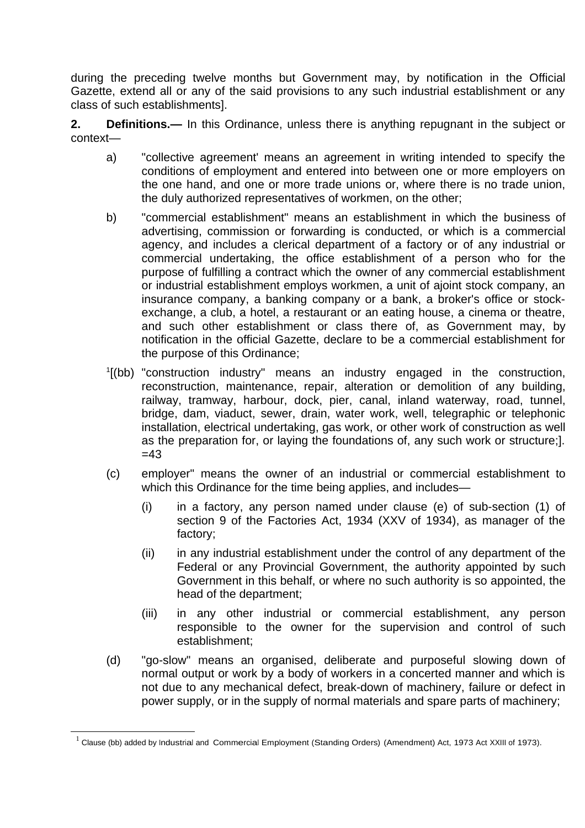during the preceding twelve months but Government may, by notification in the Official Gazette, extend all or any of the said provisions to any such industrial establishment or any class of such establishments].

<span id="page-2-0"></span>**2. Definitions.—** In this Ordinance, unless there is anything repugnant in the subject or context—

- a) "collective agreement' means an agreement in writing intended to specify the conditions of employment and entered into between one or more employers on the one hand, and one or more trade unions or, where there is no trade union, the duly authorized representatives of workmen, on the other;
- b) "commercial establishment" means an establishment in which the business of advertising, commission or forwarding is conducted, or which is a commercial agency, and includes a clerical department of a factory or of any industrial or commercial undertaking, the office establishment of a person who for the purpose of fulfilling a contract which the owner of any commercial establishment or industrial establishment employs workmen, a unit of ajoint stock company, an insurance company, a banking company or a bank, a broker's office or stockexchange, a club, a hotel, a restaurant or an eating house, a cinema or theatre, and such other establishment or class there of, as Government may, by notification in the official Gazette, declare to be a commercial establishment for the purpose of this Ordinance;
- <sup>[1](#page-2-1)</sup>[(bb) "construction industry" means an industry engaged in the construction, reconstruction, maintenance, repair, alteration or demolition of any building, railway, tramway, harbour, dock, pier, canal, inland waterway, road, tunnel, bridge, dam, viaduct, sewer, drain, water work, well, telegraphic or telephonic installation, electrical undertaking, gas work, or other work of construction as well as the preparation for, or laying the foundations of, any such work or structure;].  $=43$
- (c) employer" means the owner of an industrial or commercial establishment to which this Ordinance for the time being applies, and includes—
	- (i) in a factory, any person named under clause (e) of sub-section (1) of section 9 of the Factories Act, 1934 (XXV of 1934), as manager of the factory;
	- (ii) in any industrial establishment under the control of any department of the Federal or any Provincial Government, the authority appointed by such Government in this behalf, or where no such authority is so appointed, the head of the department;
	- (iii) in any other industrial or commercial establishment, any person responsible to the owner for the supervision and control of such establishment;
- (d) "go-slow" means an organised, deliberate and purposeful slowing down of normal output or work by a body of workers in a concerted manner and which is not due to any mechanical defect, break-down of machinery, failure or defect in power supply, or in the supply of normal materials and spare parts of machinery;

<span id="page-2-1"></span> $^1$  Clause (bb) added by Industrial and Commercial Employment (Standing Orders) (Amendment) Act, 1973 Act XXIII of 1973).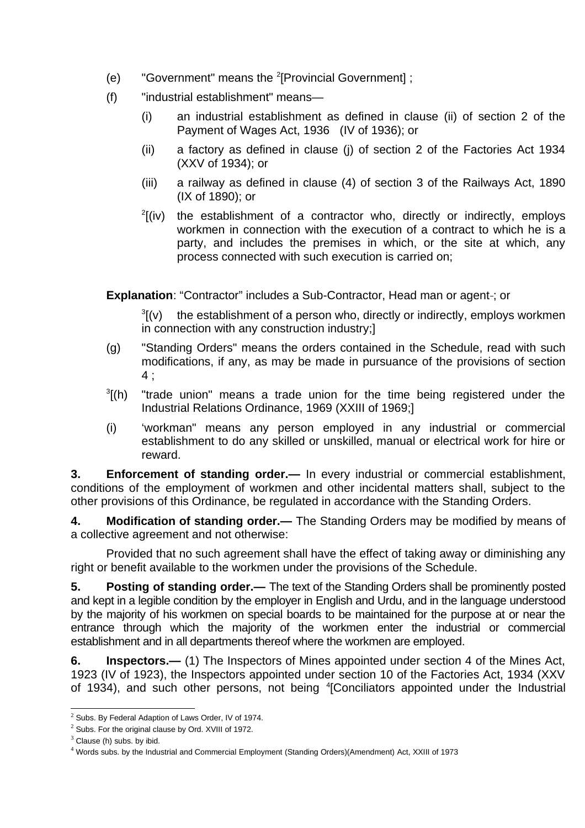- (e) "Government" means the <sup>[2](#page-3-4)</sup>[Provincial Government];
- (f) "industrial establishment" means—
	- (i) an industrial establishment as defined in clause (ii) of section 2 of the Payment of Wages Act, 1936 (IV of 1936); or
	- (ii) a factory as defined in clause (j) of section 2 of the Factories Act 1934 (XXV of 1934); or
	- (iii) a railway as defined in clause (4) of section 3 of the Railways Act, 1890 (IX of 1890); or
	- $\frac{2}{\pi}$  $\frac{2}{\pi}$  $\frac{2}{\pi}$ (iv) the establishment of a contractor who, directly or indirectly, employs workmen in connection with the execution of a contract to which he is a party, and includes the premises in which, or the site at which, any process connected with such execution is carried on;

**Explanation: "Contractor" includes a Sub-Contractor. Head man or agent-: or** 

 $\sqrt[3]{(v)}$ the establishment of a person who, directly or indirectly, employs workmen in connection with any construction industry;]

- (g) "Standing Orders" means the orders contained in the Schedule, read with such modifications, if any, as may be made in pursuance of the provisions of section 4 ;
- $\frac{3}{2}$  $\frac{3}{2}$  $\frac{3}{2}$ [(h) "trade union" means a trade union for the time being registered under the Industrial Relations Ordinance, 1969 (XXIII of 1969;]
- (i) 'workman" means any person employed in any industrial or commercial establishment to do any skilled or unskilled, manual or electrical work for hire or reward.

<span id="page-3-3"></span>**3. Enforcement of standing order.—** In every industrial or commercial establishment, conditions of the employment of workmen and other incidental matters shall, subject to the other provisions of this Ordinance, be regulated in accordance with the Standing Orders.

<span id="page-3-2"></span>**4. Modification of standing order.—** The Standing Orders may be modified by means of a collective agreement and not otherwise:

Provided that no such agreement shall have the effect of taking away or diminishing any right or benefit available to the workmen under the provisions of the Schedule.

<span id="page-3-1"></span>**5. Posting of standing order.—** The text of the Standing Orders shall be prominently posted and kept in a legible condition by the employer in English and Urdu, and in the language understood by the majority of his workmen on special boards to be maintained for the purpose at or near the entrance through which the majority of the workmen enter the industrial or commercial establishment and in all departments thereof where the workmen are employed.

<span id="page-3-0"></span>**6. Inspectors.—** (1) The Inspectors of Mines appointed under section 4 of the Mines Act, 1923 (IV of 1923), the Inspectors appointed under section 10 of the Factories Act, 1934 (XXV of 193[4](#page-3-7)), and such other persons, not being <sup>4</sup>[Conciliators appointed under the Industrial

<span id="page-3-4"></span> $^2$  Subs. By Federal Adaption of Laws Order, IV of 1974.

<span id="page-3-5"></span> $2$  Subs. For the original clause by Ord. XVIII of 1972.

<span id="page-3-6"></span> $3$  Clause (h) subs. by ibid.

<span id="page-3-7"></span><sup>4</sup> Words subs. by the Industrial and Commercial Employment (Standing Orders)(Amendment) Act, XXIII of 1973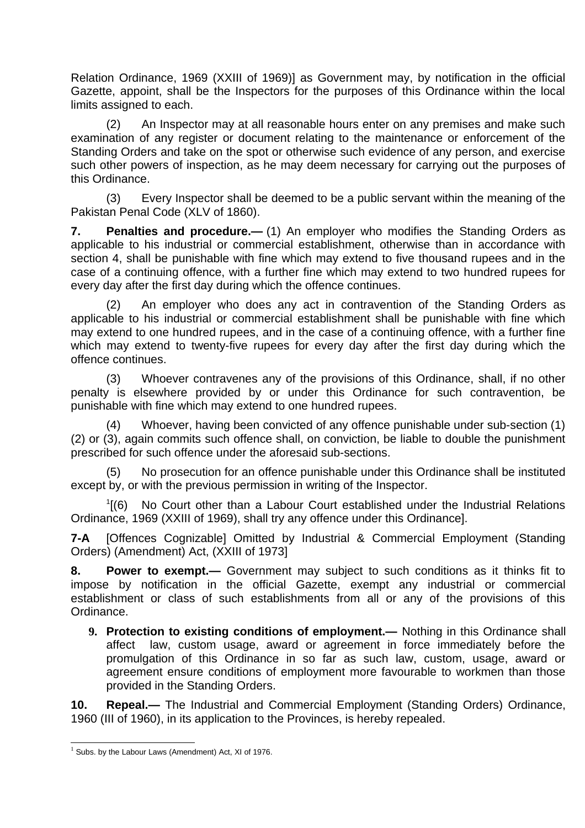Relation Ordinance, 1969 (XXIII of 1969)] as Government may, by notification in the official Gazette, appoint, shall be the Inspectors for the purposes of this Ordinance within the local limits assigned to each.

(2) An Inspector may at all reasonable hours enter on any premises and make such examination of any register or document relating to the maintenance or enforcement of the Standing Orders and take on the spot or otherwise such evidence of any person, and exercise such other powers of inspection, as he may deem necessary for carrying out the purposes of this Ordinance.

(3) Every Inspector shall be deemed to be a public servant within the meaning of the Pakistan Penal Code (XLV of 1860).

<span id="page-4-3"></span>**7. Penalties and procedure.—** (1) An employer who modifies the Standing Orders as applicable to his industrial or commercial establishment, otherwise than in accordance with section 4, shall be punishable with fine which may extend to five thousand rupees and in the case of a continuing offence, with a further fine which may extend to two hundred rupees for every day after the first day during which the offence continues.

(2) An employer who does any act in contravention of the Standing Orders as applicable to his industrial or commercial establishment shall be punishable with fine which may extend to one hundred rupees, and in the case of a continuing offence, with a further fine which may extend to twenty-five rupees for every day after the first day during which the offence continues.

(3) Whoever contravenes any of the provisions of this Ordinance, shall, if no other penalty is elsewhere provided by or under this Ordinance for such contravention, be punishable with fine which may extend to one hundred rupees.

(4) Whoever, having been convicted of any offence punishable under sub-section (1) (2) or (3), again commits such offence shall, on conviction, be liable to double the punishment prescribed for such offence under the aforesaid sub-sections.

(5) No prosecution for an offence punishable under this Ordinance shall be instituted except by, or with the previous permission in writing of the Inspector.

 $<sup>1</sup>$  $<sup>1</sup>$  $<sup>1</sup>$ [(6) No Court other than a Labour Court established under the Industrial Relations</sup> Ordinance, 1969 (XXIII of 1969), shall try any offence under this Ordinance].

**7-A** [Offences Cognizable] Omitted by Industrial & Commercial Employment (Standing Orders) (Amendment) Act, (XXIII of 1973]

<span id="page-4-2"></span>**8. Power to exempt.—** Government may subject to such conditions as it thinks fit to impose by notification in the official Gazette, exempt any industrial or commercial establishment or class of such establishments from all or any of the provisions of this Ordinance.

<span id="page-4-1"></span>**9. Protection to existing conditions of employment.—** Nothing in this Ordinance shall affect law, custom usage, award or agreement in force immediately before the promulgation of this Ordinance in so far as such law, custom, usage, award or agreement ensure conditions of employment more favourable to workmen than those provided in the Standing Orders.

<span id="page-4-0"></span>**10. Repeal.—** The Industrial and Commercial Employment (Standing Orders) Ordinance, 1960 (III of 1960), in its application to the Provinces, is hereby repealed.

<span id="page-4-4"></span> $<sup>1</sup>$  Subs. by the Labour Laws (Amendment) Act, XI of 1976.</sup>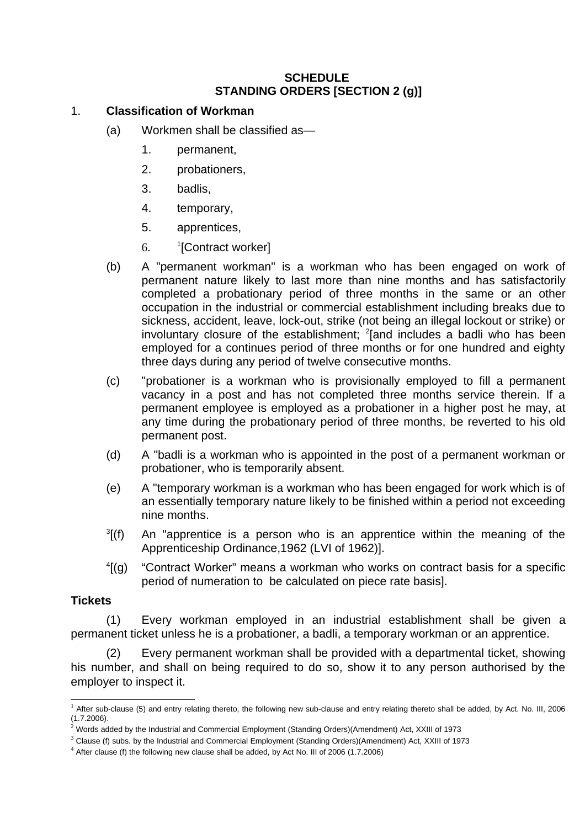### **SCHEDULE STANDING ORDERS [SECTION 2 (g)]**

### 1. **Classification of Workman**

- (a) Workmen shall be classified as—
	- 1. permanent,
	- 2. probationers,
	- 3. badlis,
	- 4. temporary,
	- 5. apprentices,
	- 6. <sup>1</sup>[Contract worker]
- (b) A "permanent workman" is a workman who has been engaged on work of permanent nature likely to last more than nine months and has satisfactorily completed a probationary period of three months in the same or an other occupation in the industrial or commercial establishment including breaks due to sickness, accident, leave, lock-out, strike (not being an illegal lockout or strike) or involuntary closure of the establishment;  $^{2}$  $^{2}$  $^{2}$ [and includes a badli who has been employed for a continues period of three months or for one hundred and eighty three days during any period of twelve consecutive months.
- (c) "probationer is a workman who is provisionally employed to fill a permanent vacancy in a post and has not completed three months service therein. If a permanent employee is employed as a probationer in a higher post he may, at any time during the probationary period of three months, be reverted to his old permanent post.
- (d) A "badli is a workman who is appointed in the post of a permanent workman or probationer, who is temporarily absent.
- (e) A "temporary workman is a workman who has been engaged for work which is of an essentially temporary nature likely to be finished within a period not exceeding nine months.
- $\frac{3}{1}$  $\frac{3}{1}$  $\frac{3}{1}$ (f) An "apprentice is a person who is an apprentice within the meaning of the Apprenticeship Ordinance,1962 (LVI of 1962)].
- $\frac{4}{9}$  $\frac{4}{9}$  $\frac{4}{9}$ (q) [(g) "Contract Worker" means a workman who works on contract basis for a specific period of numeration to be calculated on piece rate basis].

### **Tickets**

(1) Every workman employed in an industrial establishment shall be given a permanent ticket unless he is a probationer, a badli, a temporary workman or an apprentice.

(2) Every permanent workman shall be provided with a departmental ticket, showing his number, and shall on being required to do so, show it to any person authorised by the employer to inspect it.

<span id="page-5-0"></span><sup>&</sup>lt;sup>1</sup> After sub-clause (5) and entry relating thereto, the following new sub-clause and entry relating thereto shall be added, by Act. No. III, 2006 (1.7.2006).

<span id="page-5-1"></span> $^2$  Words added by the Industrial and Commercial Employment (Standing Orders)(Amendment) Act, XXIII of 1973

<span id="page-5-2"></span> $^3$  Clause (f) subs. by the Industrial and Commercial Employment (Standing Orders)(Amendment) Act, XXIII of 1973

<span id="page-5-3"></span> $^4$  After clause (f) the following new clause shall be added, by Act No. III of 2006 (1.7.2006)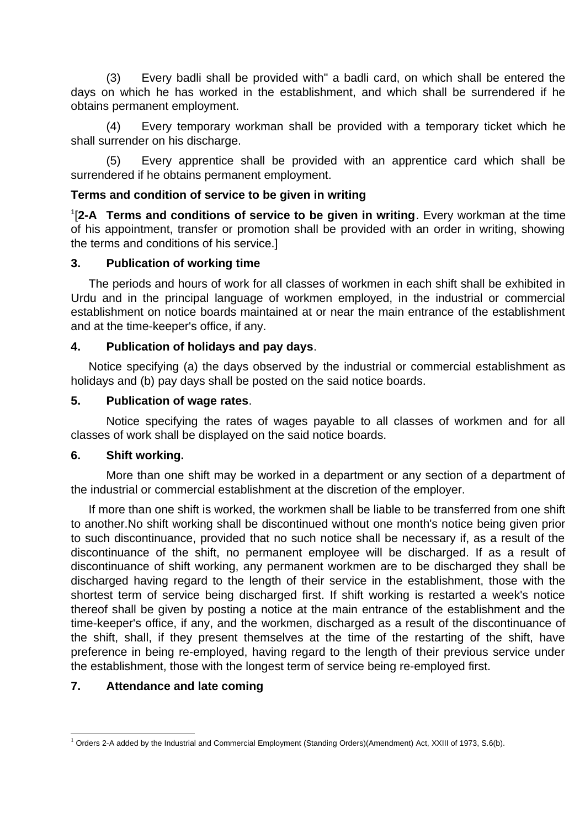(3) Every badli shall be provided with" a badli card, on which shall be entered the days on which he has worked in the establishment, and which shall be surrendered if he obtains permanent employment.

(4) Every temporary workman shall be provided with a temporary ticket which he shall surrender on his discharge.

(5) Every apprentice shall be provided with an apprentice card which shall be surrendered if he obtains permanent employment.

### **Terms and condition of service to be given in writing**

[1](#page-6-0) [**2-A Terms and conditions of service to be given in writing**. Every workman at the time of his appointment, transfer or promotion shall be provided with an order in writing, showing the terms and conditions of his service.]

### **3. Publication of working time**

The periods and hours of work for all classes of workmen in each shift shall be exhibited in Urdu and in the principal language of workmen employed, in the industrial or commercial establishment on notice boards maintained at or near the main entrance of the establishment and at the time-keeper's office, if any.

### **4. Publication of holidays and pay days**.

Notice specifying (a) the days observed by the industrial or commercial establishment as holidays and (b) pay days shall be posted on the said notice boards.

### **5. Publication of wage rates**.

Notice specifying the rates of wages payable to all classes of workmen and for all classes of work shall be displayed on the said notice boards.

### **6. Shift working.**

More than one shift may be worked in a department or any section of a department of the industrial or commercial establishment at the discretion of the employer.

If more than one shift is worked, the workmen shall be liable to be transferred from one shift to another.No shift working shall be discontinued without one month's notice being given prior to such discontinuance, provided that no such notice shall be necessary if, as a result of the discontinuance of the shift, no permanent employee will be discharged. If as a result of discontinuance of shift working, any permanent workmen are to be discharged they shall be discharged having regard to the length of their service in the establishment, those with the shortest term of service being discharged first. If shift working is restarted a week's notice thereof shall be given by posting a notice at the main entrance of the establishment and the time-keeper's office, if any, and the workmen, discharged as a result of the discontinuance of the shift, shall, if they present themselves at the time of the restarting of the shift, have preference in being re-employed, having regard to the length of their previous service under the establishment, those with the longest term of service being re-employed first.

# **7. Attendance and late coming**

<span id="page-6-0"></span> $^1$  Orders 2-A added by the Industrial and Commercial Employment (Standing Orders)(Amendment) Act, XXIII of 1973, S.6(b).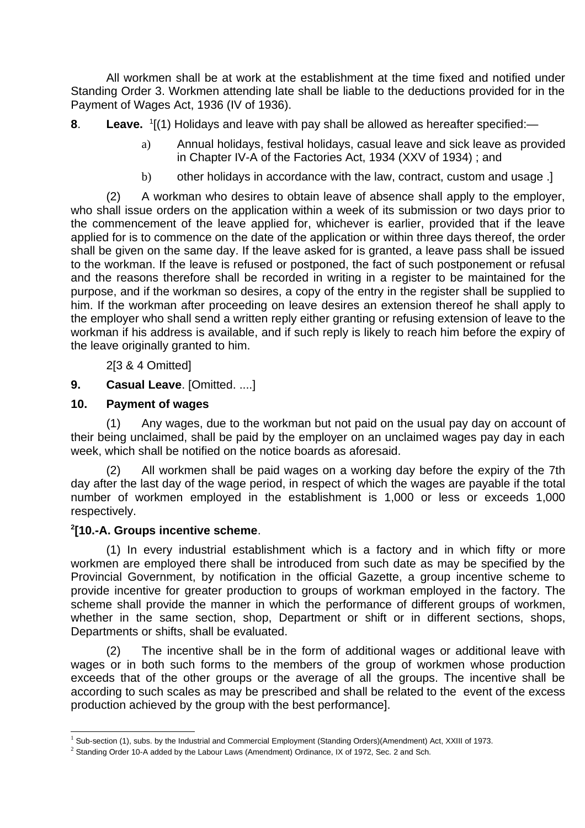All workmen shall be at work at the establishment at the time fixed and notified under Standing Order 3. Workmen attending late shall be liable to the deductions provided for in the Payment of Wages Act, 1936 (IV of 1936).

**8**. Leave. <sup>[1](#page-7-0)</sup>[(1) Holidays and leave with pay shall be allowed as hereafter specified:—

- a) Annual holidays, festival holidays, casual leave and sick leave as provided in Chapter IV-A of the Factories Act, 1934 (XXV of 1934) ; and
- b) other holidays in accordance with the law, contract, custom and usage .]

(2) A workman who desires to obtain leave of absence shall apply to the employer, who shall issue orders on the application within a week of its submission or two days prior to the commencement of the leave applied for, whichever is earlier, provided that if the leave applied for is to commence on the date of the application or within three days thereof, the order shall be given on the same day. If the leave asked for is granted, a leave pass shall be issued to the workman. If the leave is refused or postponed, the fact of such postponement or refusal and the reasons therefore shall be recorded in writing in a register to be maintained for the purpose, and if the workman so desires, a copy of the entry in the register shall be supplied to him. If the workman after proceeding on leave desires an extension thereof he shall apply to the employer who shall send a written reply either granting or refusing extension of leave to the workman if his address is available, and if such reply is likely to reach him before the expiry of the leave originally granted to him.

2[3 & 4 Omitted]

**9. Casual Leave**. [Omitted. ....]

### **10. Payment of wages**

(1) Any wages, due to the workman but not paid on the usual pay day on account of their being unclaimed, shall be paid by the employer on an unclaimed wages pay day in each week, which shall be notified on the notice boards as aforesaid.

(2) All workmen shall be paid wages on a working day before the expiry of the 7th day after the last day of the wage period, in respect of which the wages are payable if the total number of workmen employed in the establishment is 1,000 or less or exceeds 1,000 respectively.

# **[2](#page-7-1) [10.-A. Groups incentive scheme**.

(1) In every industrial establishment which is a factory and in which fifty or more workmen are employed there shall be introduced from such date as may be specified by the Provincial Government, by notification in the official Gazette, a group incentive scheme to provide incentive for greater production to groups of workman employed in the factory. The scheme shall provide the manner in which the performance of different groups of workmen, whether in the same section, shop, Department or shift or in different sections, shops, Departments or shifts, shall be evaluated.

(2) The incentive shall be in the form of additional wages or additional leave with wages or in both such forms to the members of the group of workmen whose production exceeds that of the other groups or the average of all the groups. The incentive shall be according to such scales as may be prescribed and shall be related to the event of the excess production achieved by the group with the best performance].

<span id="page-7-0"></span><sup>&</sup>lt;sup>1</sup> Sub-section (1), subs. by the Industrial and Commercial Employment (Standing Orders)(Amendment) Act, XXIII of 1973.

<span id="page-7-1"></span> $^2$  Standing Order 10-A added by the Labour Laws (Amendment) Ordinance, IX of 1972, Sec. 2 and Sch.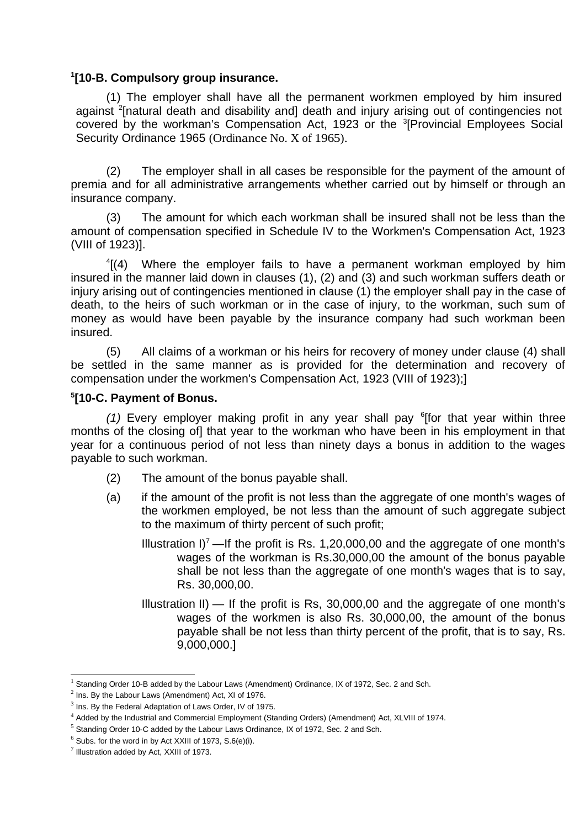### **[1](#page-8-0) [10-B. Compulsory group insurance.**

(1) The employer shall have all the permanent workmen employed by him insured against <sup>[2](#page-8-1)</sup>[natural death and disability and] death and injury arising out of contingencies not covered by the workman's Compensation Act, 192[3](#page-8-2) or the  ${}^{3}$ [Provincial Employees Social Security Ordinance 1965 (Ordinance No. X of 1965).

(2) The employer shall in all cases be responsible for the payment of the amount of premia and for all administrative arrangements whether carried out by himself or through an insurance company.

(3) The amount for which each workman shall be insured shall not be less than the amount of compensation specified in Schedule IV to the Workmen's Compensation Act, 1923 (VIII of 1923)].

 $4(4)$  $4(4)$  Where the employer fails to have a permanent workman employed by him insured in the manner laid down in clauses (1), (2) and (3) and such workman suffers death or injury arising out of contingencies mentioned in clause (1) the employer shall pay in the case of death, to the heirs of such workman or in the case of injury, to the workman, such sum of money as would have been payable by the insurance company had such workman been insured.

(5) All claims of a workman or his heirs for recovery of money under clause (4) shall be settled in the same manner as is provided for the determination and recovery of compensation under the workmen's Compensation Act, 1923 (VIII of 1923);]

#### **[5](#page-8-4) [10-C. Payment of Bonus.**

(1) Every employer making profit in any year shall pay <sup>[6](#page-8-5)</sup>[for that year within three months of the closing of] that year to the workman who have been in his employment in that year for a continuous period of not less than ninety days a bonus in addition to the wages payable to such workman.

- (2) The amount of the bonus payable shall.
- (a) if the amount of the profit is not less than the aggregate of one month's wages of the workmen employed, be not less than the amount of such aggregate subject to the maximum of thirty percent of such profit;
	- Illustration  $I^7$  $I^7$  —If the profit is Rs. 1,20,000,00 and the aggregate of one month's wages of the workman is Rs.30,000,00 the amount of the bonus payable shall be not less than the aggregate of one month's wages that is to say, Rs. 30,000,00.
	- Illustration II)  $-$  If the profit is Rs, 30,000,00 and the aggregate of one month's wages of the workmen is also Rs. 30,000,00, the amount of the bonus payable shall be not less than thirty percent of the profit, that is to say, Rs. 9,000,000.]

<span id="page-8-0"></span><sup>&</sup>lt;sup>1</sup> Standing Order 10-B added by the Labour Laws (Amendment) Ordinance, IX of 1972, Sec. 2 and Sch.

<span id="page-8-1"></span> $2$  Ins. By the Labour Laws (Amendment) Act, XI of 1976.

<span id="page-8-2"></span> $3$  Ins. By the Federal Adaptation of Laws Order, IV of 1975.

<span id="page-8-3"></span><sup>4</sup> Added by the Industrial and Commercial Employment (Standing Orders) (Amendment) Act, XLVIII of 1974.

<span id="page-8-4"></span> $^5$  Standing Order 10-C added by the Labour Laws Ordinance, IX of 1972, Sec. 2 and Sch.

<span id="page-8-5"></span> $6$  Subs. for the word in by Act XXIII of 1973, S.6(e)(i).

<span id="page-8-6"></span> $^7$  Illustration added by Act, XXIII of 1973.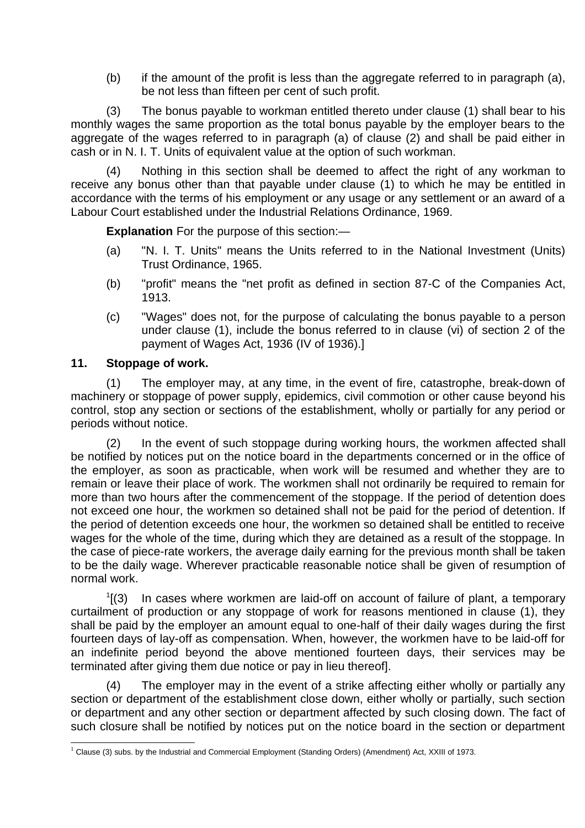(b) if the amount of the profit is less than the aggregate referred to in paragraph (a), be not less than fifteen per cent of such profit.

(3) The bonus payable to workman entitled thereto under clause (1) shall bear to his monthly wages the same proportion as the total bonus payable by the employer bears to the aggregate of the wages referred to in paragraph (a) of clause (2) and shall be paid either in cash or in N. I. T. Units of equivalent value at the option of such workman.

(4) Nothing in this section shall be deemed to affect the right of any workman to receive any bonus other than that payable under clause (1) to which he may be entitled in accordance with the terms of his employment or any usage or any settlement or an award of a Labour Court established under the Industrial Relations Ordinance, 1969.

**Explanation** For the purpose of this section:—

- (a) "N. I. T. Units" means the Units referred to in the National Investment (Units) Trust Ordinance, 1965.
- (b) "profit" means the "net profit as defined in section 87-C of the Companies Act, 1913.
- (c) "Wages" does not, for the purpose of calculating the bonus payable to a person under clause (1), include the bonus referred to in clause (vi) of section 2 of the payment of Wages Act, 1936 (IV of 1936).]

### **11. Stoppage of work.**

(1) The employer may, at any time, in the event of fire, catastrophe, break-down of machinery or stoppage of power supply, epidemics, civil commotion or other cause beyond his control, stop any section or sections of the establishment, wholly or partially for any period or periods without notice.

(2) In the event of such stoppage during working hours, the workmen affected shall be notified by notices put on the notice board in the departments concerned or in the office of the employer, as soon as practicable, when work will be resumed and whether they are to remain or leave their place of work. The workmen shall not ordinarily be required to remain for more than two hours after the commencement of the stoppage. If the period of detention does not exceed one hour, the workmen so detained shall not be paid for the period of detention. If the period of detention exceeds one hour, the workmen so detained shall be entitled to receive wages for the whole of the time, during which they are detained as a result of the stoppage. In the case of piece-rate workers, the average daily earning for the previous month shall be taken to be the daily wage. Wherever practicable reasonable notice shall be given of resumption of normal work.

 $1$ [(3) In cases where workmen are laid-off on account of failure of plant, a temporary curtailment of production or any stoppage of work for reasons mentioned in clause (1), they shall be paid by the employer an amount equal to one-half of their daily wages during the first fourteen days of lay-off as compensation. When, however, the workmen have to be laid-off for an indefinite period beyond the above mentioned fourteen days, their services may be terminated after giving them due notice or pay in lieu thereof].

(4) The employer may in the event of a strike affecting either wholly or partially any section or department of the establishment close down, either wholly or partially, such section or department and any other section or department affected by such closing down. The fact of such closure shall be notified by notices put on the notice board in the section or department

<span id="page-9-0"></span> $^1$  Clause (3) subs. by the Industrial and Commercial Employment (Standing Orders) (Amendment) Act, XXIII of 1973.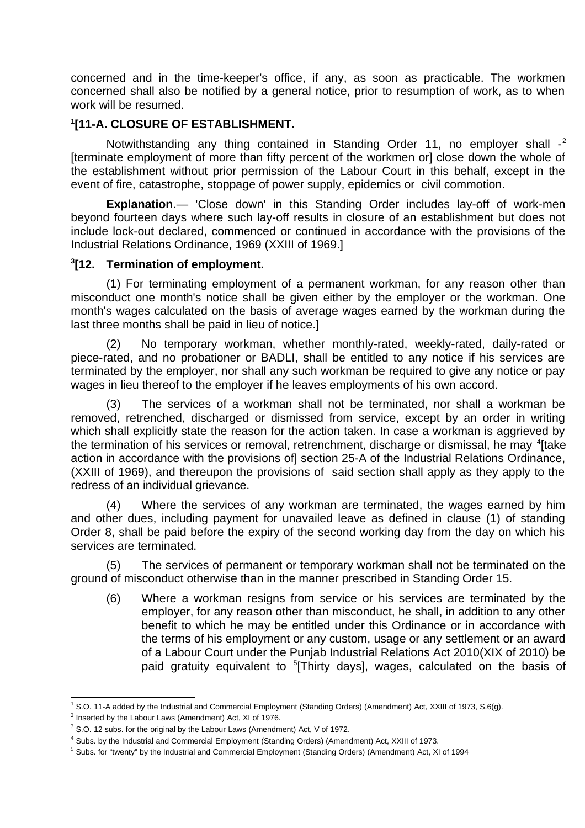concerned and in the time-keeper's office, if any, as soon as practicable. The workmen concerned shall also be notified by a general notice, prior to resumption of work, as to when work will be resumed.

### **[1](#page-10-0) [11-A. CLOSURE OF ESTABLISHMENT.**

Notwithstanding any thing contained in Standing Order 11, no employer shall -<sup>[2](#page-10-1)</sup> [terminate employment of more than fifty percent of the workmen or] close down the whole of the establishment without prior permission of the Labour Court in this behalf, except in the event of fire, catastrophe, stoppage of power supply, epidemics or civil commotion.

**Explanation**.— 'Close down' in this Standing Order includes lay-off of work-men beyond fourteen days where such lay-off results in closure of an establishment but does not include lock-out declared, commenced or continued in accordance with the provisions of the Industrial Relations Ordinance, 1969 (XXIII of 1969.]

### **[3](#page-10-2) [12. Termination of employment.**

(1) For terminating employment of a permanent workman, for any reason other than misconduct one month's notice shall be given either by the employer or the workman. One month's wages calculated on the basis of average wages earned by the workman during the last three months shall be paid in lieu of notice.]

(2) No temporary workman, whether monthly-rated, weekly-rated, daily-rated or piece-rated, and no probationer or BADLI, shall be entitled to any notice if his services are terminated by the employer, nor shall any such workman be required to give any notice or pay wages in lieu thereof to the employer if he leaves employments of his own accord.

(3) The services of a workman shall not be terminated, nor shall a workman be removed, retrenched, discharged or dismissed from service, except by an order in writing which shall explicitly state the reason for the action taken. In case a workman is aggrieved by the termination of his services or removal, retrenchment, discharge or dismissal, he may <sup>[4](#page-10-3)</sup>[take action in accordance with the provisions of section 25-A of the Industrial Relations Ordinance, (XXIII of 1969), and thereupon the provisions of said section shall apply as they apply to the redress of an individual grievance.

(4) Where the services of any workman are terminated, the wages earned by him and other dues, including payment for unavailed leave as defined in clause (1) of standing Order 8, shall be paid before the expiry of the second working day from the day on which his services are terminated.

(5) The services of permanent or temporary workman shall not be terminated on the ground of misconduct otherwise than in the manner prescribed in Standing Order 15.

(6) Where a workman resigns from service or his services are terminated by the employer, for any reason other than misconduct, he shall, in addition to any other benefit to which he may be entitled under this Ordinance or in accordance with the terms of his employment or any custom, usage or any settlement or an award of a Labour Court under the Punjab Industrial Relations Act 2010(XIX of 2010) be paid gratuity equivalent to <sup>[5](#page-10-4)</sup>[Thirty days], wages, calculated on the basis of

<span id="page-10-0"></span> $^1$  S.O. 11-A added by the Industrial and Commercial Employment (Standing Orders) (Amendment) Act, XXIII of 1973, S.6(g).

<span id="page-10-1"></span> $2$  Inserted by the Labour Laws (Amendment) Act, XI of 1976.

<span id="page-10-2"></span> $3$  S.O. 12 subs. for the original by the Labour Laws (Amendment) Act, V of 1972.

<span id="page-10-3"></span><sup>4</sup> Subs. by the Industrial and Commercial Employment (Standing Orders) (Amendment) Act, XXIII of 1973.

<span id="page-10-4"></span><sup>&</sup>lt;sup>5</sup> Subs. for "twenty" by the Industrial and Commercial Employment (Standing Orders) (Amendment) Act, XI of 1994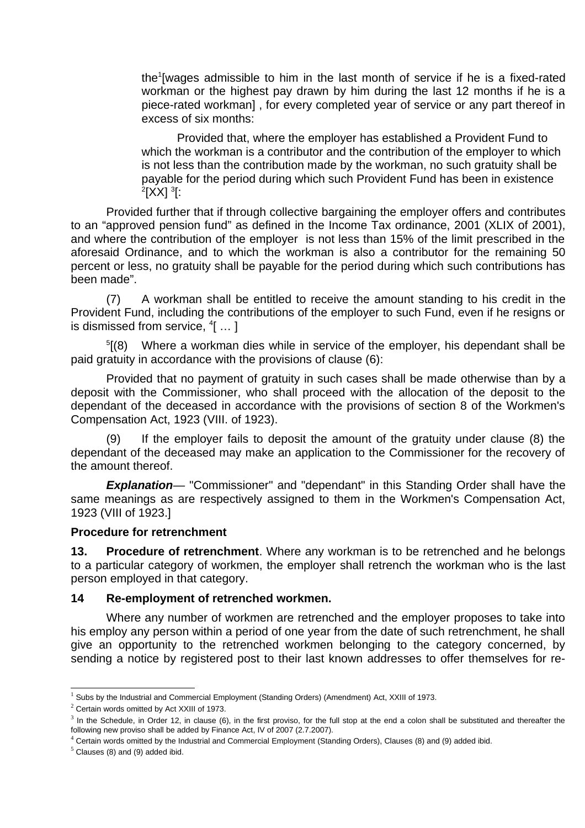the<sup>[1](#page-11-0)</sup>[wages admissible to him in the last month of service if he is a fixed-rated workman or the highest pay drawn by him during the last 12 months if he is a piece-rated workman] , for every completed year of service or any part thereof in excess of six months:

Provided that, where the employer has established a Provident Fund to which the workman is a contributor and the contribution of the employer to which is not less than the contribution made by the workman, no such gratuity shall be payable for the period during which such Provident Fund has been in existence  $^2$  $^2$ [XX]  $^3$  $^3$ [:

Provided further that if through collective bargaining the employer offers and contributes to an "approved pension fund" as defined in the Income Tax ordinance, 2001 (XLIX of 2001), and where the contribution of the employer is not less than 15% of the limit prescribed in the aforesaid Ordinance, and to which the workman is also a contributor for the remaining 50 percent or less, no gratuity shall be payable for the period during which such contributions has been made".

(7) A workman shall be entitled to receive the amount standing to his credit in the Provident Fund, including the contributions of the employer to such Fund, even if he resigns or is dismissed from service,  $^4[$  $^4[$  $^4[$   $\ldots$   $]$ 

<sup>[5](#page-11-4)</sup>[(8) Where a workman dies while in service of the employer, his dependant shall be paid gratuity in accordance with the provisions of clause (6):

Provided that no payment of gratuity in such cases shall be made otherwise than by a deposit with the Commissioner, who shall proceed with the allocation of the deposit to the dependant of the deceased in accordance with the provisions of section 8 of the Workmen's Compensation Act, 1923 (VIII. of 1923).

(9) If the employer fails to deposit the amount of the gratuity under clause (8) the dependant of the deceased may make an application to the Commissioner for the recovery of the amount thereof.

*Explanation—* "Commissioner" and "dependant" in this Standing Order shall have the same meanings as are respectively assigned to them in the Workmen's Compensation Act, 1923 (VIII of 1923.]

#### **Procedure for retrenchment**

**13. Procedure of retrenchment**. Where any workman is to be retrenched and he belongs to a particular category of workmen, the employer shall retrench the workman who is the last person employed in that category.

### **14 Re-employment of retrenched workmen.**

Where any number of workmen are retrenched and the employer proposes to take into his employ any person within a period of one year from the date of such retrenchment, he shall give an opportunity to the retrenched workmen belonging to the category concerned, by sending a notice by registered post to their last known addresses to offer themselves for re-

<span id="page-11-0"></span><sup>&</sup>lt;sup>1</sup> Subs by the Industrial and Commercial Employment (Standing Orders) (Amendment) Act, XXIII of 1973.

<span id="page-11-1"></span> $2$  Certain words omitted by Act XXIII of 1973.

<span id="page-11-2"></span> $3$  In the Schedule, in Order 12, in clause (6), in the first proviso, for the full stop at the end a colon shall be substituted and thereafter the following new proviso shall be added by Finance Act, IV of 2007 (2.7.2007).

<span id="page-11-3"></span><sup>4</sup> Certain words omitted by the Industrial and Commercial Employment (Standing Orders), Clauses (8) and (9) added ibid.

<span id="page-11-4"></span> $^5$  Clauses (8) and (9) added ibid.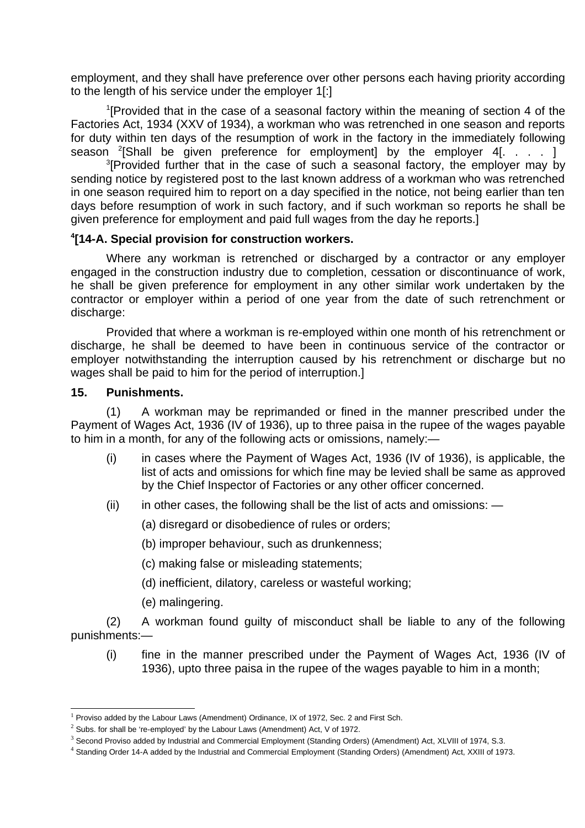employment, and they shall have preference over other persons each having priority according to the length of his service under the employer 1[:]

 $1$ [Provided that in the case of a seasonal factory within the meaning of section 4 of the Factories Act, 1934 (XXV of 1934), a workman who was retrenched in one season and reports for duty within ten days of the resumption of work in the factory in the immediately following season  $^{2}$  $^{2}$  $^{2}$ [Shall be given preference for employment] by the employer 4[. . . . ]

<sup>[3](#page-12-2)</sup>[Provided further that in the case of such a seasonal factory, the employer may by sending notice by registered post to the last known address of a workman who was retrenched in one season required him to report on a day specified in the notice, not being earlier than ten days before resumption of work in such factory, and if such workman so reports he shall be given preference for employment and paid full wages from the day he reports.]

### **[4](#page-12-3) [14-A. Special provision for construction workers.**

Where any workman is retrenched or discharged by a contractor or any employer engaged in the construction industry due to completion, cessation or discontinuance of work, he shall be given preference for employment in any other similar work undertaken by the contractor or employer within a period of one year from the date of such retrenchment or discharge:

Provided that where a workman is re-employed within one month of his retrenchment or discharge, he shall be deemed to have been in continuous service of the contractor or employer notwithstanding the interruption caused by his retrenchment or discharge but no wages shall be paid to him for the period of interruption.]

#### **15. Punishments.**

(1) A workman may be reprimanded or fined in the manner prescribed under the Payment of Wages Act, 1936 (IV of 1936), up to three paisa in the rupee of the wages payable to him in a month, for any of the following acts or omissions, namely:—

- (i) in cases where the Payment of Wages Act, 1936 (IV of 1936), is applicable, the list of acts and omissions for which fine may be levied shall be same as approved by the Chief Inspector of Factories or any other officer concerned.
- $(i)$  in other cases, the following shall be the list of acts and omissions:  $-$ 
	- (a) disregard or disobedience of rules or orders;
	- (b) improper behaviour, such as drunkenness;
	- (c) making false or misleading statements;
	- (d) inefficient, dilatory, careless or wasteful working;
	- (e) malingering.

(2) A workman found guilty of misconduct shall be liable to any of the following punishments:—

(i) fine in the manner prescribed under the Payment of Wages Act, 1936 (IV of 1936), upto three paisa in the rupee of the wages payable to him in a month;

<span id="page-12-0"></span> $^{\rm 1}$  Proviso added by the Labour Laws (Amendment) Ordinance, IX of 1972, Sec. 2 and First Sch.

<span id="page-12-1"></span> $^2$  Subs. for shall be 're-employed' by the Labour Laws (Amendment) Act, V of 1972.

<span id="page-12-2"></span> $^3$  Second Proviso added by Industrial and Commercial Employment (Standing Orders) (Amendment) Act, XLVIII of 1974, S.3.

<span id="page-12-3"></span><sup>4</sup> Standing Order 14-A added by the Industrial and Commercial Employment (Standing Orders) (Amendment) Act, XXIII of 1973.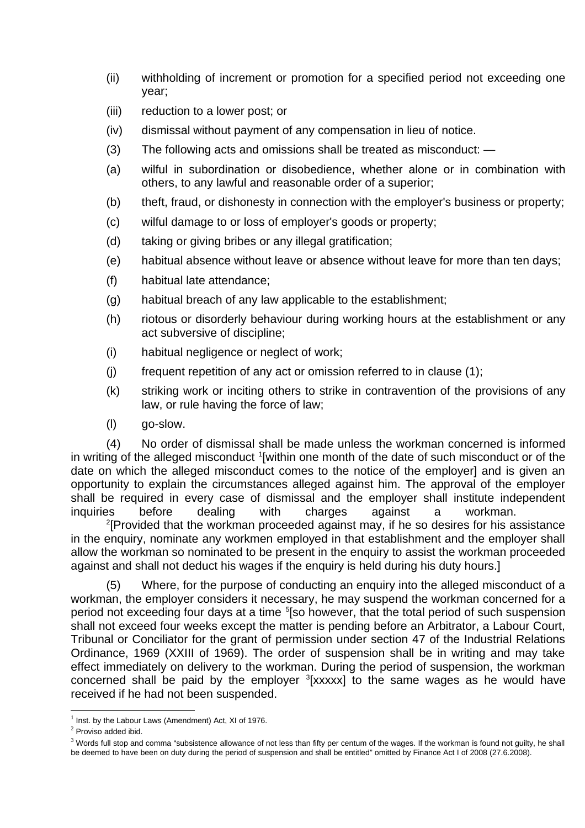- (ii) withholding of increment or promotion for a specified period not exceeding one year;
- (iii) reduction to a lower post; or
- (iv) dismissal without payment of any compensation in lieu of notice.
- (3) The following acts and omissions shall be treated as misconduct: —
- (a) wilful in subordination or disobedience, whether alone or in combination with others, to any lawful and reasonable order of a superior;
- (b) theft, fraud, or dishonesty in connection with the employer's business or property;
- (c) wilful damage to or loss of employer's goods or property;
- (d) taking or giving bribes or any illegal gratification;
- (e) habitual absence without leave or absence without leave for more than ten days;
- (f) habitual late attendance;
- (g) habitual breach of any law applicable to the establishment;
- (h) riotous or disorderly behaviour during working hours at the establishment or any act subversive of discipline;
- (i) habitual negligence or neglect of work;
- $(i)$  frequent repetition of any act or omission referred to in clause  $(1)$ ;
- (k) striking work or inciting others to strike in contravention of the provisions of any law, or rule having the force of law;
- (l) go-slow.

(4) No order of dismissal shall be made unless the workman concerned is informed in writing of the alleged misconduct <sup>[1](#page-13-0)</sup>[within one month of the date of such misconduct or of the date on which the alleged misconduct comes to the notice of the employer] and is given an opportunity to explain the circumstances alleged against him. The approval of the employer shall be required in every case of dismissal and the employer shall institute independent inquiries before dealing with charges against a workman.

<sup>[2](#page-13-1)</sup>[Provided that the workman proceeded against may, if he so desires for his assistance in the enquiry, nominate any workmen employed in that establishment and the employer shall allow the workman so nominated to be present in the enquiry to assist the workman proceeded against and shall not deduct his wages if the enquiry is held during his duty hours.]

(5) Where, for the purpose of conducting an enquiry into the alleged misconduct of a workman, the employer considers it necessary, he may suspend the workman concerned for a period not exceeding four days at a time <sup>5</sup>[so however, that the total period of such suspension shall not exceed four weeks except the matter is pending before an Arbitrator, a Labour Court, Tribunal or Conciliator for the grant of permission under section 47 of the Industrial Relations Ordinance, 1969 (XXIII of 1969). The order of suspension shall be in writing and may take effect immediately on delivery to the workman. During the period of suspension, the workman concerned shall be paid by the employer <sup>[3](#page-13-2)</sup>[xxxxx] to the same wages as he would have received if he had not been suspended.

<span id="page-13-0"></span> $^1$  Inst. by the Labour Laws (Amendment) Act, XI of 1976.

<span id="page-13-1"></span> $2$  Proviso added ibid.

<span id="page-13-2"></span> $^3$  Words full stop and comma "subsistence allowance of not less than fifty per centum of the wages. If the workman is found not guilty, he shall be deemed to have been on duty during the period of suspension and shall be entitled" omitted by Finance Act I of 2008 (27.6.2008).